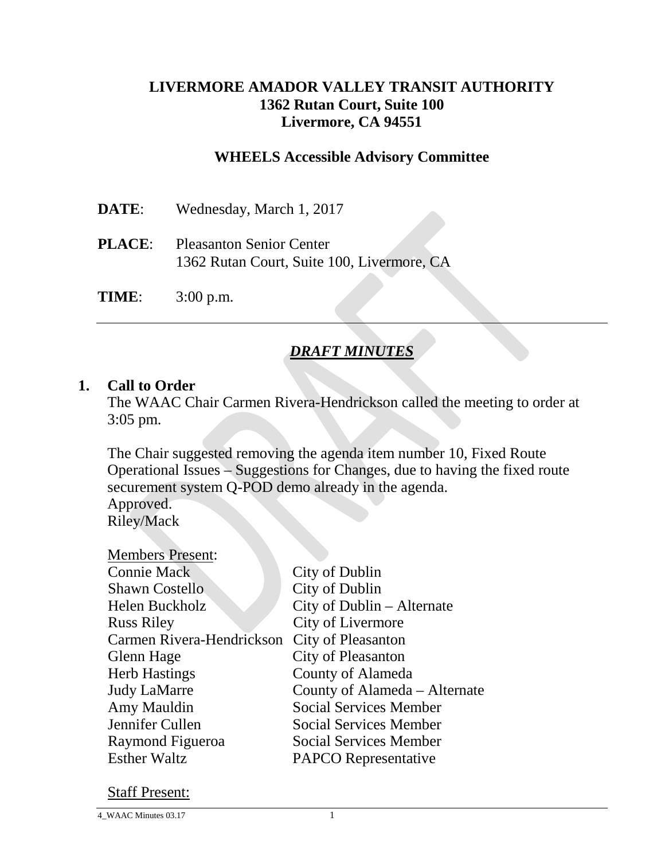## **LIVERMORE AMADOR VALLEY TRANSIT AUTHORITY 1362 Rutan Court, Suite 100 Livermore, CA 94551**

## **WHEELS Accessible Advisory Committee**

| <b>DATE:</b> | Wednesday, March 1, 2017                                                             |
|--------------|--------------------------------------------------------------------------------------|
|              | <b>PLACE:</b> Pleasanton Senior Center<br>1362 Rutan Court, Suite 100, Livermore, CA |
| <b>TIME:</b> | $3:00$ p.m.                                                                          |

## *DRAFT MINUTES*

#### **1. Call to Order**

The WAAC Chair Carmen Rivera-Hendrickson called the meeting to order at 3:05 pm.

The Chair suggested removing the agenda item number 10, Fixed Route Operational Issues – Suggestions for Changes, due to having the fixed route securement system Q-POD demo already in the agenda.

Approved. Riley/Mack

| <b>Members Present:</b>   |                               |
|---------------------------|-------------------------------|
| <b>Connie Mack</b>        | City of Dublin                |
| <b>Shawn Costello</b>     | City of Dublin                |
| Helen Buckholz            | City of Dublin – Alternate    |
| <b>Russ Riley</b>         | City of Livermore             |
| Carmen Rivera-Hendrickson | <b>City of Pleasanton</b>     |
| Glenn Hage                | City of Pleasanton            |
| <b>Herb Hastings</b>      | County of Alameda             |
| <b>Judy LaMarre</b>       | County of Alameda – Alternate |
| Amy Mauldin               | <b>Social Services Member</b> |
| Jennifer Cullen           | <b>Social Services Member</b> |
| Raymond Figueroa          | <b>Social Services Member</b> |
| <b>Esther Waltz</b>       | <b>PAPCO</b> Representative   |
|                           |                               |

#### Staff Present: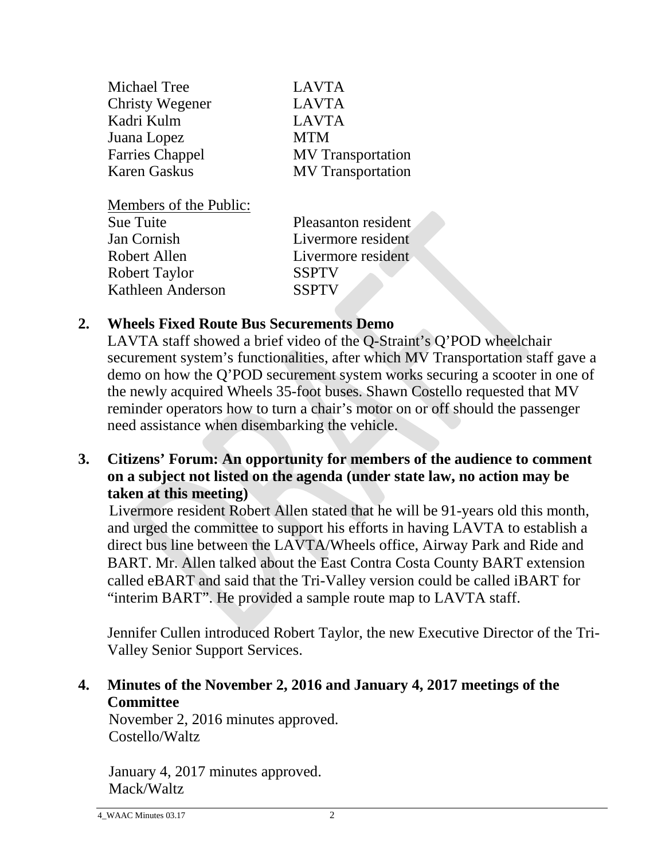| Michael Tree           | <b>LAVTA</b>             |
|------------------------|--------------------------|
| <b>Christy Wegener</b> | <b>LAVTA</b>             |
| Kadri Kulm             | <b>LAVTA</b>             |
| Juana Lopez            | <b>MTM</b>               |
| <b>Farries Chappel</b> | <b>MV</b> Transportation |
| <b>Karen Gaskus</b>    | <b>MV</b> Transportation |
|                        |                          |

Members of the Public:

| Pleasanton resident |
|---------------------|
| Livermore resident  |
| Livermore resident  |
|                     |
|                     |
|                     |

## **2. Wheels Fixed Route Bus Securements Demo**

LAVTA staff showed a brief video of the Q-Straint's Q'POD wheelchair securement system's functionalities, after which MV Transportation staff gave a demo on how the Q'POD securement system works securing a scooter in one of the newly acquired Wheels 35-foot buses. Shawn Costello requested that MV reminder operators how to turn a chair's motor on or off should the passenger need assistance when disembarking the vehicle.

**3. Citizens' Forum: An opportunity for members of the audience to comment on a subject not listed on the agenda (under state law, no action may be taken at this meeting)**

Livermore resident Robert Allen stated that he will be 91-years old this month, and urged the committee to support his efforts in having LAVTA to establish a direct bus line between the LAVTA/Wheels office, Airway Park and Ride and BART. Mr. Allen talked about the East Contra Costa County BART extension called eBART and said that the Tri-Valley version could be called iBART for "interim BART". He provided a sample route map to LAVTA staff.

Jennifer Cullen introduced Robert Taylor, the new Executive Director of the Tri-Valley Senior Support Services.

**4. Minutes of the November 2, 2016 and January 4, 2017 meetings of the Committee**

November 2, 2016 minutes approved. Costello/Waltz

January 4, 2017 minutes approved. Mack/Waltz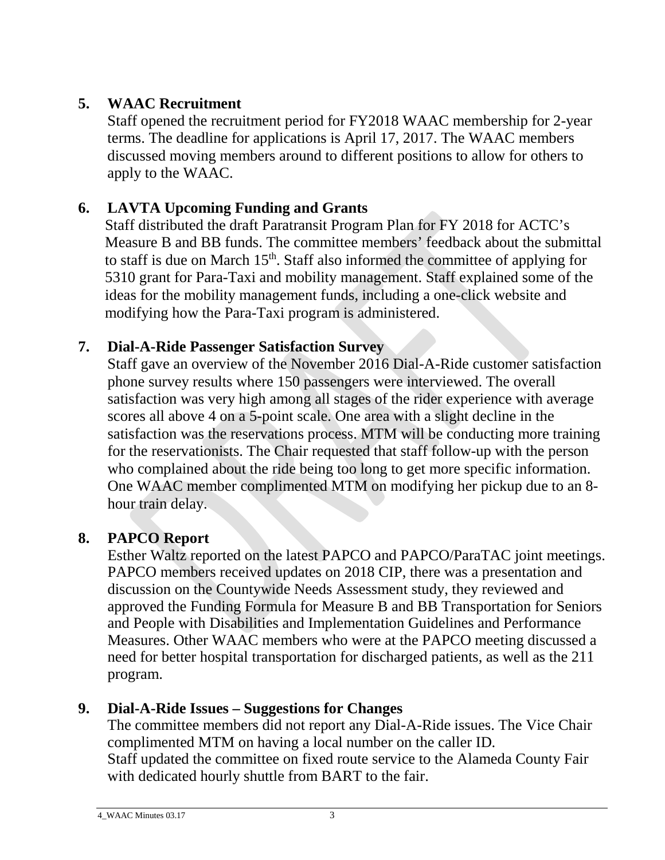# **5. WAAC Recruitment**

Staff opened the recruitment period for FY2018 WAAC membership for 2-year terms. The deadline for applications is April 17, 2017. The WAAC members discussed moving members around to different positions to allow for others to apply to the WAAC.

# **6. LAVTA Upcoming Funding and Grants**

Staff distributed the draft Paratransit Program Plan for FY 2018 for ACTC's Measure B and BB funds. The committee members' feedback about the submittal to staff is due on March  $15<sup>th</sup>$ . Staff also informed the committee of applying for 5310 grant for Para-Taxi and mobility management. Staff explained some of the ideas for the mobility management funds, including a one-click website and modifying how the Para-Taxi program is administered.

# **7. Dial-A-Ride Passenger Satisfaction Survey**

Staff gave an overview of the November 2016 Dial-A-Ride customer satisfaction phone survey results where 150 passengers were interviewed. The overall satisfaction was very high among all stages of the rider experience with average scores all above 4 on a 5-point scale. One area with a slight decline in the satisfaction was the reservations process. MTM will be conducting more training for the reservationists. The Chair requested that staff follow-up with the person who complained about the ride being too long to get more specific information. One WAAC member complimented MTM on modifying her pickup due to an 8 hour train delay.

# **8. PAPCO Report**

Esther Waltz reported on the latest PAPCO and PAPCO/ParaTAC joint meetings. PAPCO members received updates on 2018 CIP, there was a presentation and discussion on the Countywide Needs Assessment study, they reviewed and approved the Funding Formula for Measure B and BB Transportation for Seniors and People with Disabilities and Implementation Guidelines and Performance Measures. Other WAAC members who were at the PAPCO meeting discussed a need for better hospital transportation for discharged patients, as well as the 211 program.

# **9. Dial-A-Ride Issues – Suggestions for Changes**

The committee members did not report any Dial-A-Ride issues. The Vice Chair complimented MTM on having a local number on the caller ID. Staff updated the committee on fixed route service to the Alameda County Fair with dedicated hourly shuttle from BART to the fair.